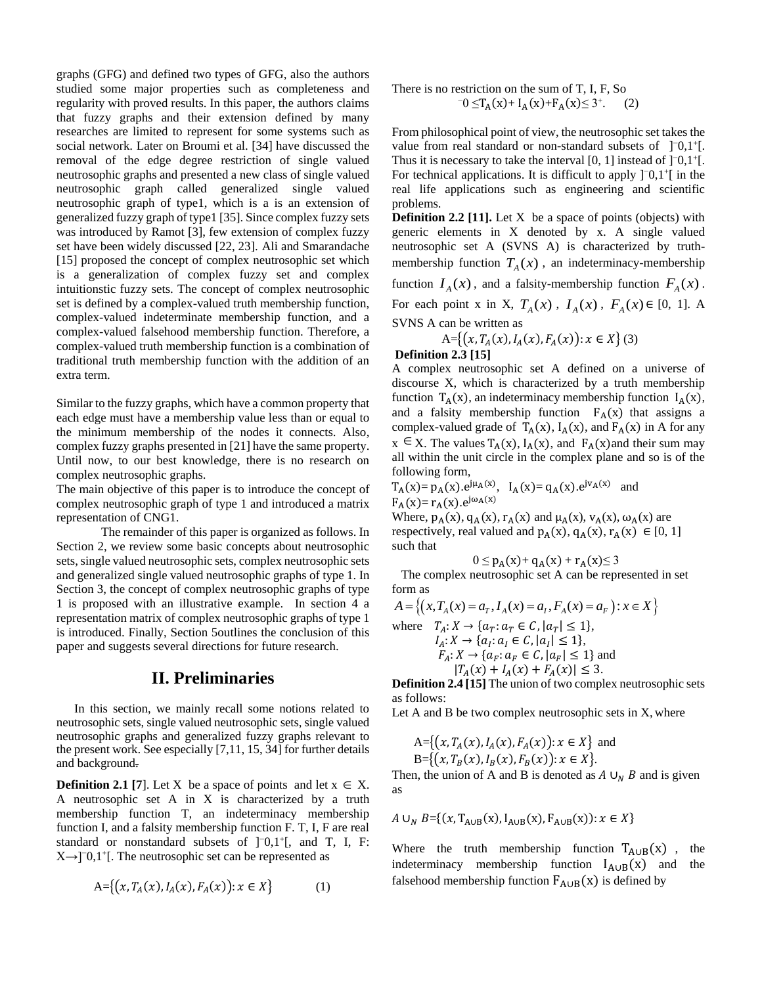graphs (GFG) and defined two types of GFG, also the authors studied some major properties such as completeness and regularity with proved results. In this paper, the authors claims that fuzzy graphs and their extension defined by many researches are limited to represent for some systems such as social network. Later on Broumi et al. [34] have discussed the removal of the edge degree restriction of single valued neutrosophic graphs and presented a new class of single valued neutrosophic graph called generalized single valued neutrosophic graph of type1, which is a is an extension of generalized fuzzy graph of type1 [35]. Since complex fuzzy sets was introduced by Ramot [3], few extension of complex fuzzy set have been widely discussed [22, 23]. Ali and Smarandache [15] proposed the concept of complex neutrosophic set which is a generalization of complex fuzzy set and complex intuitionstic fuzzy sets. The concept of complex neutrosophic set is defined by a complex-valued truth membership function, complex-valued indeterminate membership function, and a complex-valued falsehood membership function. Therefore, a complex-valued truth membership function is a combination of traditional truth membership function with the addition of an extra term.

Similar to the fuzzy graphs, which have a common property that each edge must have a membership value less than or equal to the minimum membership of the nodes it connects. Also, complex fuzzy graphs presented in [21] have the same property. Until now, to our best knowledge, there is no research on complex neutrosophic graphs.

The main objective of this paper is to introduce the concept of complex neutrosophic graph of type 1 and introduced a matrix representation of CNG1.

The remainder of this paper is organized as follows. In Section 2, we review some basic concepts about neutrosophic sets, single valued neutrosophic sets, complex neutrosophic sets and generalized single valued neutrosophic graphs of type 1. In Section 3, the concept of complex neutrosophic graphs of type 1 is proposed with an illustrative example. In section 4 a representation matrix of complex neutrosophic graphs of type 1 is introduced. Finally, Section 5outlines the conclusion of this paper and suggests several directions for future research.

## **II. Preliminaries**

In this section, we mainly recall some notions related to neutrosophic sets, single valued neutrosophic sets, single valued neutrosophic graphs and generalized fuzzy graphs relevant to the present work. See especially [7,11, 15, 34] for further details and background.

**Definition 2.1** [7]. Let X be a space of points and let  $x \in X$ . A neutrosophic set A in X is characterized by a truth membership function T, an indeterminacy membership function I, and a falsity membership function F. T, I, F are real standard or nonstandard subsets of ]<sup>-</sup>0,1<sup>+</sup>[, and T, I, F: X→]<sup>−</sup>0,1<sup>+</sup> [. The neutrosophic set can be represented as

$$
A = \{(x, T_A(x), I_A(x), F_A(x)) : x \in X\}
$$
 (1)

There is no restriction on the sum of T, I, F, So  

$$
-0 \leq T_A(x) + I_A(x) + F_A(x) \leq 3^+.
$$
 (2)

From philosophical point of view, the neutrosophic set takes the value from real standard or non-standard subsets of ]<sup>-</sup>0,1<sup>+</sup>[. Thus it is necessary to take the interval  $[0, 1]$  instead of  $]$ <sup>-0</sup>,1<sup>+</sup>[. For technical applications. It is difficult to apply  $]$ <sup>-0</sup>,1<sup>+</sup>[ in the real life applications such as engineering and scientific problems.

**Definition 2.2 [11].** Let X be a space of points (objects) with generic elements in X denoted by x. A single valued neutrosophic set A (SVNS A) is characterized by truthmembership function  $T_A(x)$ , an indeterminacy-membership function  $I_A(x)$ , and a falsity-membership function  $F_A(x)$ .

For each point x in X,  $T_A(x)$ ,  $I_A(x)$ ,  $F_A(x) \in [0, 1]$ . A SVNS A can be written as

$$
A = \{(x, T_A(x), I_A(x), F_A(x)) : x \in X\} (3)
$$

### **Definition 2.3 [15]**

A complex neutrosophic set A defined on a universe of discourse X, which is characterized by a truth membership function  $T_A(x)$ , an indeterminacy membership function  $I_A(x)$ , and a falsity membership function  $F_A(x)$  that assigns a complex-valued grade of  $T_A(x)$ ,  $I_A(x)$ , and  $F_A(x)$  in A for any  $x \in X$ . The values  $T_A(x)$ ,  $I_A(x)$ , and  $F_A(x)$  and their sum may all within the unit circle in the complex plane and so is of the following form,

 $T_A(x) = p_A(x) \cdot e^{j\mu_A(x)}$ ,  $I_A(x) = q_A(x) \cdot e^{j\mu_A(x)}$  and  $F_A(x)=r_A(x).e^{j\omega_A(x)}$ 

Where,  $p_A(x)$ ,  $q_A(x)$ ,  $r_A(x)$  and  $\mu_A(x)$ ,  $v_A(x)$ ,  $\omega_A(x)$  are respectively, real valued and  $p_A(x)$ ,  $q_A(x)$ ,  $r_A(x) \in [0, 1]$ such that

$$
0 \le p_A(x) + q_A(x) + r_A(x) \le 3
$$

The complex neutrosophic set A can be represented in set form as  $A = \{(x, T_A(x) = a_T, I_A(x) = a_I, F_A(x) = a_F) : x \in X\}$ form as

$$
A = \{(x, T_A(x) = a_T, I_A(x) = a_I, F_A(x) = a_F) : x \in X\}
$$
  
where  $T_A: X \to \{a_T: a_T \in C, |a_T| \le 1\}$ ,  
 $I_A: X \to \{a_I: a_I \in C, |a_I| \le 1\}$ ,  
 $F_A: X \to \{a_F: a_F \in C, |a_F| \le 1\}$  and  
 $|T_A(x) + I_A(x) + F_A(x)| \le 3$ .

**Definition 2.4 [15]** The union of two complex neutrosophic sets as follows:

Let A and B be two complex neutrosophic sets in X, where

$$
A = \{ (x, T_A(x), I_A(x), F_A(x)) : x \in X \} \text{ and } B = \{ (x, T_B(x), I_B(x), F_B(x)) : x \in X \}.
$$

Then, the union of A and B is denoted as  $A \cup_N B$  and is given as

$$
A \cup_{N} B = \{(x, T_{A \cup B}(x), I_{A \cup B}(x), F_{A \cup B}(x)) : x \in X\}
$$

Where the truth membership function  $T_{A\cup B}(x)$ , the indeterminacy membership function  $I_{A\cup B}(x)$  and the falsehood membership function  $F_{A\cup B}(x)$  is defined by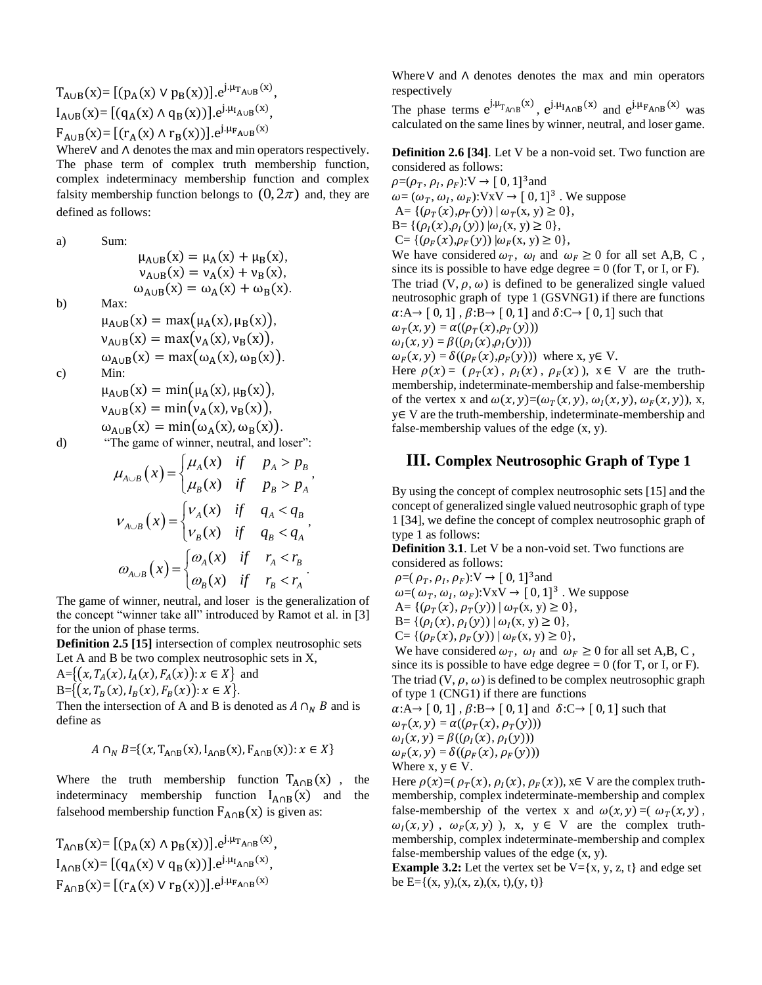$T_{A\cup B}(x) = [(p_A(x) \vee p_B(x))] \cdot e^{j \cdot \mu_{T_{A\cup B}}(x)},$  $I_{A\cup B}(x) = [(q_A(x) \wedge q_B(x))] \cdot e^{j \cdot \mu_{I_{A \cup B}}(x)},$  $F_{A\cup B}(x) = [(r_A(x) \wedge r_B(x))] \cdot e^{j \cdot \mu_{F_{A \cup B}}(x)}$ 

Where∨ and ∧ denotes the max and min operators respectively. The phase term of complex truth membership function, complex indeterminacy membership function and complex falsity membership function belongs to  $(0, 2\pi)$  and, they are defined as follows:

a) Sum:

 $\mu_{A\cup B}(x) = \mu_A(x) + \mu_B(x),$  $v_{A\cup B}(x) = v_A(x) + v_B(x),$  $\omega_{A\cup B}(x) = \omega_A(x) + \omega_B(x)$ .

b)

$$
\begin{aligned}\n\text{Max:} \\
\mu_{A \cup B}(x) &= \max(\mu_A(x), \mu_B(x)), \\
\nu_{A \cup B}(x) &= \max(\nu_A(x), \nu_B(x)), \\
\omega_{A \cup B}(x) &= \max(\omega_A(x), \omega_B(x)).\n\end{aligned}
$$

$$
c) \qquad \text{Min:}
$$

$$
\mu_{A \cup B}(x) = \min(\mu_A(x), \mu_B(x)),
$$
  
\n
$$
\nu_{A \cup B}(x) = \min(\nu_A(x), \nu_B(x)),
$$
  
\n
$$
\omega_{A \cup B}(x) = \min(\omega_A(x), \omega_B(x)).
$$

d) "The game of winner, neutral, and loser":  
\n
$$
\mu_{A\cup B}(x) = \begin{cases}\n\mu_A(x) & \text{if } p_A > p_B \\
\mu_B(x) & \text{if } p_B > p_A\n\end{cases},
$$
\n
$$
V_{A\cup B}(x) = \begin{cases}\nV_A(x) & \text{if } q_A < q_B \\
V_B(x) & \text{if } q_B < q_A\n\end{cases},
$$
\n
$$
\omega_{A\cup B}(x) = \begin{cases}\n\omega_A(x) & \text{if } r_A < r_B \\
\omega_B(x) & \text{if } r_B < r_A\n\end{cases}.
$$

The game of winner, neutral, and loser is the generalization of the concept "winner take all" introduced by Ramot et al. in [3] for the union of phase terms.

**Definition 2.5 [15]** intersection of complex neutrosophic sets Let A and B be two complex neutrosophic sets in X,

 $A = \{(x, T_A(x), I_A(x), F_A(x)) : x \in X\}$  and

 $B = \{ (x, T_B(x), I_B(x), F_B(x)) : x \in X \}.$ 

Then the intersection of A and B is denoted as  $A \cap_{N} B$  and is define as

$$
A \cap_N B = \{(x, T_{A \cap B}(x), I_{A \cap B}(x), F_{A \cap B}(x)) : x \in X\}
$$

Where the truth membership function  $T_{A \cap B}(x)$ , the indeterminacy membership function  $I_{A \cap B}(x)$  and the falsehood membership function  $F_{A \cap B}(x)$  is given as:

$$
T_{A \cap B}(x) = [(p_A(x) \land p_B(x))].e^{j.\mu_{T_{A \cap B}}(x)},
$$
  
\n
$$
I_{A \cap B}(x) = [(q_A(x) \lor q_B(x))].e^{j.\mu_{T_{A \cap B}}(x)},
$$
  
\n
$$
F_{A \cap B}(x) = [(r_A(x) \lor r_B(x))].e^{j.\mu_{F_{A \cap B}}(x)}
$$

Where∨ and ∧ denotes denotes the max and min operators respectively

The phase terms  $e^{j \cdot \mu_{T_{A \cap B}}(x)}$ ,  $e^{j \cdot \mu_{T_{A \cap B}}(x)}$  and  $e^{j \cdot \mu_{T_{A \cap B}}(x)}$  was calculated on the same lines by winner, neutral, and loser game.

**Definition 2.6 [34]**. Let V be a non-void set. Two function are considered as follows:

 $\rho = (\rho_T, \rho_I, \rho_F): V \to [0, 1]^3$  and  $\omega = (\omega_T, \omega_I, \omega_F): VxV \rightarrow [0, 1]^3$ . We suppose A= { $(\rho_T(x), \rho_T(y)) | \omega_T(x, y) \ge 0$ }, B= { $(\rho_I(x), \rho_I(y)) | \omega_I(x, y) \ge 0$ }, C= { $(\rho_F(x), \rho_F(y)) | \omega_F(x, y) \ge 0$ }, We have considered  $\omega_T$ ,  $\omega_I$  and  $\omega_F \ge 0$  for all set A,B, C, since its is possible to have edge degree  $= 0$  (for T, or I, or F). The triad  $(V, \rho, \omega)$  is defined to be generalized single valued neutrosophic graph of type 1 (GSVNG1) if there are functions  $\alpha: A \rightarrow [0, 1]$ ,  $\beta: B \rightarrow [0, 1]$  and  $\delta: C \rightarrow [0, 1]$  such that  $\omega_T(x, y) = \alpha((\rho_T(x), \rho_T(y)))$  $\omega_I(x, y) = \beta((\rho_I(x), \rho_I(y)))$  $\omega_F(x, y) = \delta((\rho_F(x), \rho_F(y)))$  where x, y∈ V. Here  $\rho(x) = (\rho_T(x), \rho_I(x), \rho_F(x))$ ,  $x \in V$  are the truthmembership, indeterminate-membership and false-membership

of the vertex x and  $\omega(x, y)=(\omega_T(x, y), \omega_I(x, y), \omega_F(x, y))$ , x, y∈ V are the truth-membership, indeterminate-membership and false-membership values of the edge (x, y).

# **III. Complex Neutrosophic Graph of Type 1**

By using the concept of complex neutrosophic sets [15] and the concept of generalized single valued neutrosophic graph of type 1 [34], we define the concept of complex neutrosophic graph of type 1 as follows:

**Definition 3.1**. Let V be a non-void set. Two functions are considered as follows:

 $\rho = (\rho_T, \rho_I, \rho_F): V \to [0, 1]^3$  and

- $\omega = (\omega_T, \omega_I, \omega_F): VxV \rightarrow [0, 1]^3$ . We suppose A= { $(\rho_T(x), \rho_T(y)) | \omega_T(x, y) \ge 0$ },
- B= { $(\rho_I(x), \rho_I(y)) | \omega_I(x, y) \ge 0$ },
- C= { $(\rho_F(x), \rho_F(y)) | \omega_F(x, y) \ge 0$ },

We have considered  $\omega_T$ ,  $\omega_I$  and  $\omega_F \ge 0$  for all set A,B, C, since its is possible to have edge degree  $= 0$  (for T, or I, or F). The triad  $(V, \rho, \omega)$  is defined to be complex neutrosophic graph of type 1 (CNG1) if there are functions

$$
\alpha: A \rightarrow [0, 1], \beta: B \rightarrow [0, 1] \text{ and } \delta: C \rightarrow [0, 1] \text{ such that}
$$
  
\n
$$
\omega_T(x, y) = \alpha((\rho_T(x), \rho_T(y)))
$$
  
\n
$$
\omega_I(x, y) = \beta((\rho_I(x), \rho_I(y)))
$$
  
\n
$$
\omega_F(x, y) = \delta((\rho_F(x), \rho_F(y)))
$$
  
\nWhere x, y \in V.

Here  $\rho(x)=(\rho_T(x), \rho_I(x), \rho_F(x))$ ,  $x \in V$  are the complex truthmembership, complex indeterminate-membership and complex false-membership of the vertex x and  $\omega(x, y) = (\omega_{\tau}(x, y))$ ,  $\omega_1(x, y)$ ,  $\omega_F(x, y)$ , x, y  $\in$  V are the complex truthmembership, complex indeterminate-membership and complex false-membership values of the edge (x, y).

**Example 3.2:** Let the vertex set be  $V = \{x, y, z, t\}$  and edge set be  $E = \{(x, y), (x, z), (x, t), (y, t)\}\$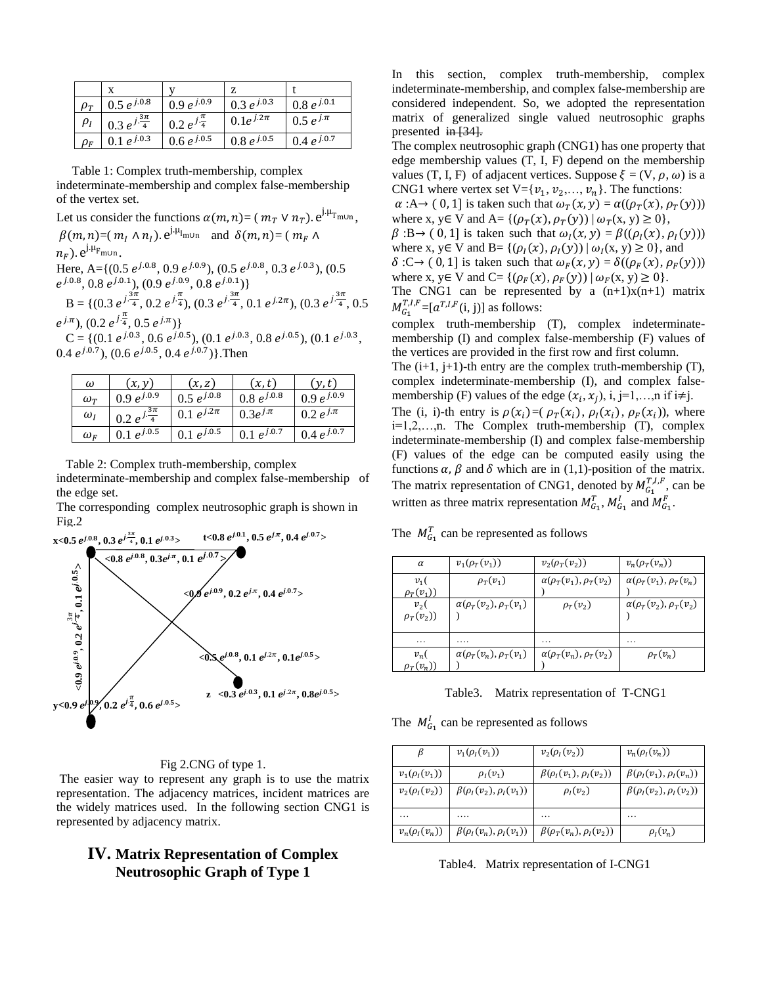|                               | X                          |                          | Z               |                 |
|-------------------------------|----------------------------|--------------------------|-----------------|-----------------|
| $\rho_{\scriptscriptstyle T}$ | $0.5 e^{j.0.8}$            | $0.9 e^{j.0.9}$          | 0.3 $e^{j.0.3}$ | $0.8 e^{j.0.1}$ |
| $\rho_I$                      | $0.3 e^{j \frac{3\pi}{4}}$ | $0.2 e^{j\frac{\pi}{4}}$ | $0.1e^{j.2\pi}$ | $0.5 e^{j \pi}$ |
| $\rho_{\scriptscriptstyle F}$ | $0.1 e^{j.0.3}$            | $0.6 e^{j.0.5}$          | $0.8 e^{j.0.5}$ | 0.4 $e^{j.0.7}$ |

 Table 1: Complex truth-membership, complex indeterminate-membership and complex false-membership of the vertex set.

Let us consider the functions  $\alpha(m, n) = (m_T \vee n_T)$ .  $e^{j \cdot \mu_T}$ <sub>m∪n</sub>,  $\beta(m, n) = (m_I \wedge n_I) \cdot e^{j \cdot \mu_I}$  and  $\delta(m, n) = (m_F \wedge n)$  $n_F$ ).  $e^{j \cdot \mu_F}$ <sub>m∪n</sub>. Here, A= $\{ (0.5 \, e^{j.0.8}, 0.9 \, e^{j.0.9}), (0.5 \, e^{j.0.8}, 0.3 \, e^{j.0.3}), (0.5 \, e^{j.0.3}, 0.3 \, e^{j.0.3}) \}$  $e^{j.0.8}, 0.8 e^{j.0.1}, (0.9 e^{j.0.9}, 0.8 e^{j.0.1})\}$ B = { $(0.3 e^{j\frac{3\pi}{4}}, 0.2 e^{j\frac{\pi}{4}}), (0.3 e^{j\frac{3\pi}{4}}, 0.1 e^{j.2\pi}), (0.3 e^{j\frac{3\pi}{4}}, 0.5$  $e^{j\pi}$ ,  $(0.2 e^{j\frac{\pi}{4}}, 0.5 e^{j\pi})$ C = { $(0.1 e^{j.0.3}, 0.6 e^{j.0.5})$ ,  $(0.1 e^{j.0.3}, 0.8 e^{j.0.5})$ ,  $(0.1 e^{j.0.3},$ 0.4  $e^{j.0.7}$ ), (0.6  $e^{j.0.5}$ , 0.4  $e^{j.0.7}$ )}. Then

| ω               | (x, y)                     | (x, z)           | (x, t)          | y, t)           |
|-----------------|----------------------------|------------------|-----------------|-----------------|
| $\omega_{\tau}$ | $0.9 e^{j.0.9}$            | $0.5 e^{j.0.8}$  | $0.8 e^{j.0.8}$ | $0.9 e^{j.0.9}$ |
| $\omega_I$      | $0.2 e^{j \frac{3\pi}{4}}$ | 0.1 $e^{j.2\pi}$ | $0.3e^{j.\pi}$  | $0.2 e^{j \pi}$ |
| $\omega_F$      | $0.1 e^{j.0.5}$            | $0.1 e^{j.0.5}$  | $0.1 e^{j.0.7}$ | $0.4 e^{j.0.7}$ |

Table 2: Complex truth-membership, complex

indeterminate-membership and complex false-membership of the edge set.

The corresponding complex neutrosophic graph is shown in Fig.2



### Fig 2.CNG of type 1.

 The easier way to represent any graph is to use the matrix representation. The adjacency matrices, incident matrices are the widely matrices used. In the following section CNG1 is represented by adjacency matrix.

# **IV. Matrix Representation of Complex Neutrosophic Graph of Type 1**

In this section, complex truth-membership, complex indeterminate-membership, and complex false-membership are considered independent. So, we adopted the representation matrix of generalized single valued neutrosophic graphs presented  $\frac{1}{24}$ .

The complex neutrosophic graph (CNG1) has one property that edge membership values (T, I, F) depend on the membership values (T, I, F) of adjacent vertices. Suppose  $\xi = (V, \rho, \omega)$  is a CNG1 where vertex set  $V = \{v_1, v_2, \ldots, v_n\}$ . The functions:

 $\alpha : A \rightarrow (0, 1]$  is taken such that  $\omega_T(x, y) = \alpha((\rho_T(x), \rho_T(y)))$ where x, y∈ V and A= { $(\rho_T(x), \rho_T(y)) | \omega_T(x, y) \ge 0$ },

 $\beta$ :B→ (0, 1] is taken such that  $\omega_I(x, y) = \beta((\rho_I(x), \rho_I(y)))$ where x,  $y \in V$  and  $B = \{(\rho_I(x), \rho_I(y)) | \omega_I(x, y) \ge 0\}$ , and

 $\delta: C \rightarrow (0, 1]$  is taken such that  $\omega_F(x, y) = \delta((\rho_F(x), \rho_F(y)))$ where x, y∈ V and C= { $(\rho_F(x), \rho_F(y)) | \omega_F(x, y) \ge 0$  }.

The CNG1 can be represented by a  $(n+1)x(n+1)$  matrix  $M_{G_1}^{T,I,F} = [a^{T,I,F}(i,j)]$  as follows:

complex truth-membership (T), complex indeterminatemembership (I) and complex false-membership (F) values of the vertices are provided in the first row and first column.

The  $(i+1, j+1)$ -th entry are the complex truth-membership  $(T)$ , complex indeterminate-membership (I), and complex falsemembership (F) values of the edge  $(x_i, x_j)$ , i, j=1,...,n if i≠j.

The (i, i)-th entry is  $\rho(x_i) = (\rho_T(x_i), \rho_I(x_i), \rho_F(x_i))$ , where i=1,2,…,n. The Complex truth-membership (T), complex indeterminate-membership (I) and complex false-membership (F) values of the edge can be computed easily using the functions  $\alpha$ ,  $\beta$  and  $\delta$  which are in (1,1)-position of the matrix. The matrix representation of CNG1, denoted by  $M_{G_1}^{T,I,F}$ , can be written as three matrix representation  $M_{G_1}^T$ ,  $M_{G_1}^I$  and  $M_{G_1}^F$ .

The  $M_{G_1}^T$  can be represented as follows

| α                        | $v_1(\rho_T(v_1))$                           | $v_2(\rho_T(v_2))$                 | $v_n(\rho_\tau(v_n))$                        |
|--------------------------|----------------------------------------------|------------------------------------|----------------------------------------------|
| $v_1($<br>$\rho_T(v_1)$  | $\rho_T(v_1)$                                | $\alpha(\rho_T(v_1), \rho_T(v_2))$ | $\alpha(\rho_T(v_1), \rho_T(v_n))$           |
| $v_{2}$<br>$\rho_T(v_2)$ | $\alpha(\rho_{\tau}(v_2), \rho_{\tau}(v_1))$ | $\rho_T(v_2)$                      | $\alpha(\rho_{\tau}(v_2), \rho_{\tau}(v_2))$ |
| $\ddotsc$                | .                                            | .                                  | .                                            |
| $v_n($<br>$\rho_r(v_n)$  | $\alpha(\rho_T(v_n), \rho_T(v_1))$           | $\alpha(\rho_T(v_n), \rho_T(v_2))$ | $\rho_T(v_n)$                                |

Table3. Matrix representation of T-CNG1

The  $M_{G_1}^l$  can be represented as follows

| β                  | $v_1(\rho_I(v_1))$                | $v_2(\rho_I(v_2))$                | $v_n(\rho_l(v_n))$                |
|--------------------|-----------------------------------|-----------------------------------|-----------------------------------|
| $v_1(\rho_I(v_1))$ | $\rho_I(v_1)$                     | $\beta(\rho_I(v_1), \rho_I(v_2))$ | $\beta(\rho_I(v_1), \rho_I(v_n))$ |
| $v_2(\rho_1(v_2))$ | $\beta(\rho_I(v_2), \rho_I(v_1))$ | $\rho_I(v_2)$                     | $\beta(\rho_I(v_2), \rho_I(v_2))$ |
| .                  |                                   | .                                 | .                                 |
| $v_n(\rho_l(v_n))$ | $\beta(\rho_I(v_n), \rho_I(v_1))$ | $\beta(\rho_T(v_n), \rho_I(v_2))$ | $\rho_I(v_n)$                     |

Table4. Matrix representation of I-CNG1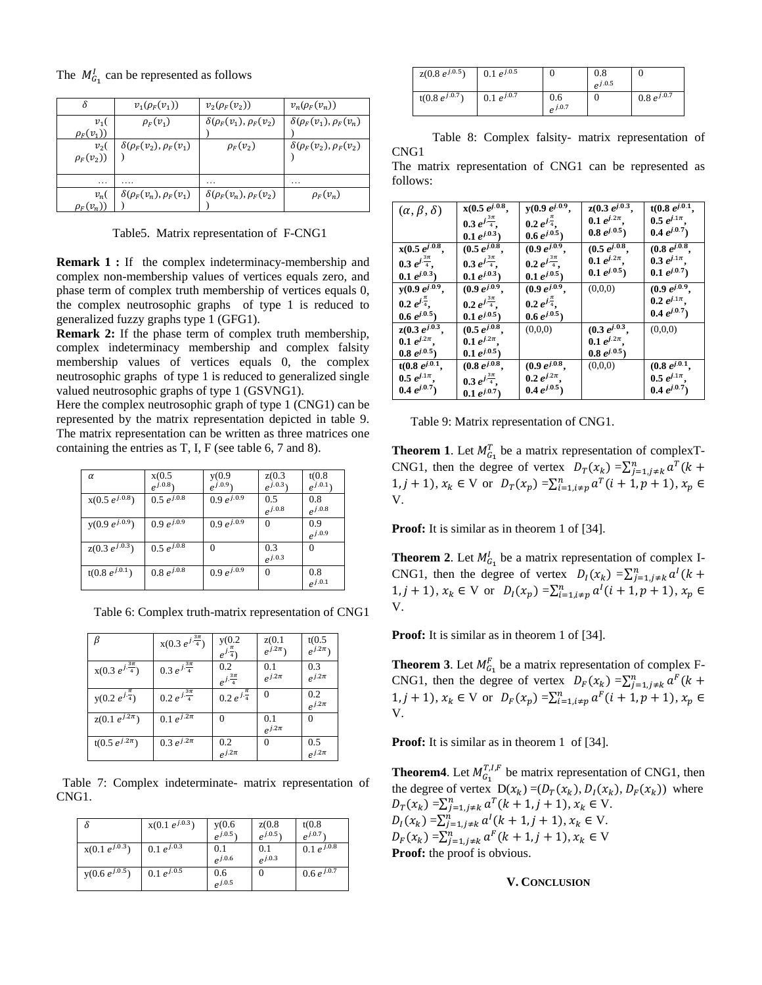|  |  |  |  | The $M_{G_1}^l$ can be represented as follows |  |  |
|--|--|--|--|-----------------------------------------------|--|--|
|--|--|--|--|-----------------------------------------------|--|--|

|                         | $v_1(\rho_F(v_1))$                 | $v_2(\rho_F(v_2))$                 | $v_n(\rho_F(v_n))$                 |
|-------------------------|------------------------------------|------------------------------------|------------------------------------|
| $v_1($<br>$\rho_F(v_1)$ | $\rho_F(v_1)$                      | $\delta(\rho_F(v_1), \rho_F(v_2))$ | $\delta(\rho_F(v_1), \rho_F(v_n))$ |
| $v_2($<br>$\rho_F(v_2)$ | $\delta(\rho_F(v_2), \rho_F(v_1))$ | $\rho_F(v_2)$                      | $\delta(\rho_F(v_2), \rho_F(v_2))$ |
| .                       | .                                  | .                                  | .                                  |
| $v_n($<br>$\rho_F(v_n)$ | $\delta(\rho_F(v_n), \rho_F(v_1))$ | $\delta(\rho_F(v_n), \rho_F(v_2))$ | $\rho_F(v_n)$                      |

Table5. Matrix representation of F-CNG1

**Remark 1 :** If the complex indeterminacy-membership and complex non-membership values of vertices equals zero, and phase term of complex truth membership of vertices equals 0, the complex neutrosophic graphs of type 1 is reduced to generalized fuzzy graphs type 1 (GFG1).

**Remark 2:** If the phase term of complex truth membership, complex indeterminacy membership and complex falsity membership values of vertices equals 0, the complex neutrosophic graphs of type 1 is reduced to generalized single valued neutrosophic graphs of type 1 (GSVNG1).

Here the complex neutrosophic graph of type 1 (CNG1) can be represented by the matrix representation depicted in table 9. The matrix representation can be written as three matrices one containing the entries as T, I, F (see table 6, 7 and 8).

| $\alpha$           | x(0.5)                     | y(0.9)                     | z(0.3)         | t(0.8)      |
|--------------------|----------------------------|----------------------------|----------------|-------------|
|                    | $e^{j.0.8}$                | $e^{j.0.9}$                | $e^{j.0.3}$    | $e^{j.0.1}$ |
| $x(0.5 e^{j.0.8})$ | $0.5 e^{j.0.8}$            | $0.9 e^{j.0.\overline{9}}$ | 0.5            | 0.8         |
|                    |                            |                            | $e^{j.0.8}$    | $e^{j.0.8}$ |
| $y(0.9 e^{j.0.9})$ | $0.9 e^{j.0.9}$            | $0.9 e^{j.0.9}$            | 0              | 0.9         |
|                    |                            |                            |                | $e^{j.0.9}$ |
| $z(0.3 e^{j.0.3})$ | $0.5 e^{j.0.8}$            | $\Omega$                   | 0.3            |             |
|                    |                            |                            | $\rho^{j.0.3}$ |             |
| $t(0.8 e^{j.0.1})$ | $0.8 e^{j.0.\overline{8}}$ | $0.9 e^{j.0.9}$            | $\Omega$       | 0.8         |
|                    |                            |                            |                | $e^{j.0.1}$ |

Table 6: Complex truth-matrix representation of CNG1

|                              | $x(0.3 e^{j\frac{3\pi}{4}})$ | y(0.2)<br>$e^{j.\frac{\pi}{4}}$ | z(0.1)<br>$e^{j.2\pi}$ | t(0.5)<br>$e^{j.2\pi}$ |
|------------------------------|------------------------------|---------------------------------|------------------------|------------------------|
| $x(0.3 e^{j\frac{3\pi}{4}})$ | 0.3 $e^{j\frac{3\pi}{4}}$    | 0.2<br>$e^{j\frac{3\pi}{4}}$    | 0.1<br>$e^{j.2\pi}$    | 0.3<br>$e^{j.2\pi}$    |
| $y(0.2 e^{j\frac{\pi}{4}})$  | $0.2 e^{j.\frac{3\pi}{4}}$   | 0.2 $e^{j\frac{\pi}{4}}$        | $\Omega$               | 0.2<br>$e^{j.2\pi}$    |
| $z(0.1 e^{j.2\pi})$          | 0.1 $e^{j.2\pi}$             |                                 | 0.1<br>$e^{j.2\pi}$    | $\left($               |
| $t(0.5 e^{j.2\pi})$          | $0.3 e^{j.2\pi}$             | 0.2<br>$e^{j.2\pi}$             | 0                      | 0.5<br>$e^{j.2\pi}$    |

 Table 7: Complex indeterminate- matrix representation of CNG1.

| δ                  | $x(0.1 e^{j.0.3})$         | y(0.6)      | z(0.8)         | t(0.8)                     |
|--------------------|----------------------------|-------------|----------------|----------------------------|
|                    |                            | $e^{j.0.5}$ | $e^{j.0.5}$    | $e^{j.0.7}$                |
| $x(0.1 e^{j.0.3})$ | 0.1 $e^{j.0.3}$            | 0.1         | 0.1            | 0.1 $e^{j.0.\overline{8}}$ |
|                    |                            | $e^{j.0.6}$ | $\rho^{j.0.3}$ |                            |
| $y(0.6 e^{j.0.5})$ | 0.1 $e^{j.0.\overline{5}}$ | 0.6         | 0              | $0.6 e^{j.0.7}$            |
|                    |                            | $e^{j.0.5}$ |                |                            |

| $z(0.8 e^{j.0.5})$ | 0.1 $e^{j.0.5}$ |                    | 0.8<br>$e^{j.0.5}$ |                 |
|--------------------|-----------------|--------------------|--------------------|-----------------|
| $t(0.8 e^{j.0.7})$ | 0.1 $e^{j.0.7}$ | 0.6<br>$e^{j.0.7}$ |                    | $0.8 e^{j.0.7}$ |

 Table 8: Complex falsity- matrix representation of CNG1

The matrix representation of CNG1 can be represented as follows:

| $(\alpha, \beta, \delta)$   | $x(0.5 e^{j.0.8})$           | $y(0.9 e^{j.0.9})$ .         | $z(0.3 e^{j.0.3})$ | $t(0.8 e^{j.0.1})$ |
|-----------------------------|------------------------------|------------------------------|--------------------|--------------------|
|                             | $0.3 e^{j \frac{3\pi}{4}}$ . | $0.2 e^{j\frac{\pi}{4}}$ .   | $0.1 e^{j.2\pi}$ , | $0.5 e^{j.1\pi}$ . |
|                             | $0.1 e^{j.0.3}$              | $0.6 e^{j.0.5}$              | $0.8 e^{j.0.5}$    | $0.4 e^{j.0.7}$    |
| $x(0.5 e^{j.0.8},$          | $(0.5 e^{j.0.8})$            | $(0.9 e^{j.0.9})$            | $(0.5 e^{j.0.8})$  | $(0.8 e^{j.0.8})$  |
| $0.3 e^{j\frac{3\pi}{4}}$ . | $0.3 e^{j\frac{3\pi}{4}}$ .  | $0.2 e^{j \frac{3\pi}{4}}$ . | $0.1 e^{j.2\pi}$ . | $0.3 e^{j.1\pi}$ . |
| $0.1 e^{j.0.3}$             | $0.1 e^{j.0.3}$              | $0.1 e^{j.0.5}$              | $0.1 e^{j.0.5}$    | $0.1 e^{j.0.7}$    |
| $y(0.9 e^{j.0.9})$          | $(0.9 e^{j.0.9})$            | $(0.9 e^{j.0.9})$            | (0,0,0)            | $(0.9 e^{j.0.9})$  |
| $0.2 e^{j\frac{\pi}{4}}$ .  | $0.2 e^{j \frac{3\pi}{4}}$ . | $0.2 e^{j\frac{\pi}{4}}$ .   |                    | $0.2 e^{j.1\pi}$ . |
| $0.6 e^{j.0.5}$             | $0.1 e^{j.0.5}$              | $0.6 e^{j.0.5}$              |                    | $0.4 e^{j.0.7}$    |
| $z(0.3 e^{j.0.3})$          | $(0.5 e^{j.0.8})$            | (0,0,0)                      | $(0.3 e^{j.0.3})$  | (0,0,0)            |
| $0.1 e^{j.2\pi}$ .          | $0.1 e^{j.2\pi}$ .           |                              | $0.1 e^{j.2\pi}$ . |                    |
| $0.8 e^{j.0.5}$             | $0.1 e^{j.0.5}$              |                              | $0.8 e^{j.0.5}$    |                    |
| $t(0.8 e^{j.0.1},$          | $(0.8 e^{j.0.8})$            | $(0.9 e^{j.0.8},$            | (0,0,0)            | $(0.8 e^{j.0.1})$  |
| $0.5\;e^{j.1\pi}.$          | $0.3 e^{j\frac{3\pi}{4}}$ .  | $0.2 e^{j.2\pi}$ .           |                    | $0.5 e^{j.1\pi}$ . |
| $0.4 \; e^{j.0.7})$         | $0.1 e^{j.0.7}$              | $0.4\; e^{j.0.5})$           |                    | $0.4 e^{j.0.7}$    |

Table 9: Matrix representation of CNG1.

**Theorem 1**. Let  $M_{G_1}^T$  be a matrix representation of complexT-CNG1, then the degree of vertex  $D_T(x_k) = \sum_{j=1, j \neq k}^n a^T (k +$  $1, j + 1$ ,  $x_k \in V$  or  $D_T(x_p) = \sum_{i=1, i \neq p}^n a^T(i + 1, p + 1), x_p \in V$ V.

**Proof:** It is similar as in theorem 1 of [34].

**Theorem 2.** Let  $M_{G_1}^l$  be a matrix representation of complex I-CNG1, then the degree of vertex  $D_l(x_k) = \sum_{j=1, j \neq k}^n a^l (k +$  $1, j + 1$ ,  $x_k \in V$  or  $D_l(x_p) = \sum_{i=1, i \neq p}^{n} a^l (i + 1, p + 1)$ ,  $x_p \in$ V.

**Proof:** It is similar as in theorem 1 of [34].

**Theorem 3**. Let  $M_{G_1}^F$  be a matrix representation of complex F-CNG1, then the degree of vertex  $D_F(x_k) = \sum_{j=1, j \neq k}^n a^F(k +$  $1, j + 1$ ,  $x_k \in V$  or  $D_F(x_p) = \sum_{i=1, i \neq p}^n a^F(i + 1, p + 1), x_p \in$ V.

**Proof:** It is similar as in theorem 1 of [34].

**Theorem4**. Let  $M_{G_1}^{T,I,F}$  be matrix representation of CNG1, then the degree of vertex  $D(x_k) = (D_T(x_k), D_I(x_k), D_F(x_k))$  where  $D_T(x_k) = \sum_{j=1, j\neq k}^n a^T(k+1, j+1), x_k \in V.$  $D_l(x_k) = \sum_{j=1, j \neq k}^{n} a^l (k+1, j+1), x_k \in V.$  $D_F(x_k) = \sum_{j=1, j\neq k}^n a^F(k+1, j+1), x_k \in V$ **Proof:** the proof is obvious.

#### **V. CONCLUSION**